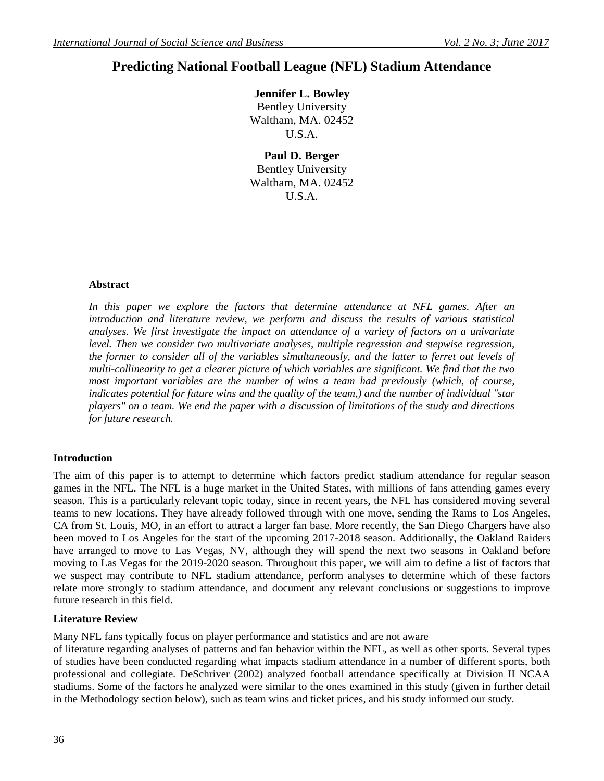# **Predicting National Football League (NFL) Stadium Attendance**

**Jennifer L. Bowley**

Bentley University Waltham, MA. 02452 U.S.A.

**Paul D. Berger** Bentley University Waltham, MA. 02452 U.S.A.

## **Abstract**

In this paper we explore the factors that determine attendance at NFL games. After an *introduction and literature review, we perform and discuss the results of various statistical analyses. We first investigate the impact on attendance of a variety of factors on a univariate level. Then we consider two multivariate analyses, multiple regression and stepwise regression, the former to consider all of the variables simultaneously, and the latter to ferret out levels of multi-collinearity to get a clearer picture of which variables are significant. We find that the two most important variables are the number of wins a team had previously (which, of course, indicates potential for future wins and the quality of the team,) and the number of individual "star players" on a team. We end the paper with a discussion of limitations of the study and directions for future research.* 

## **Introduction**

The aim of this paper is to attempt to determine which factors predict stadium attendance for regular season games in the NFL. The NFL is a huge market in the United States, with millions of fans attending games every season. This is a particularly relevant topic today, since in recent years, the NFL has considered moving several teams to new locations. They have already followed through with one move, sending the Rams to Los Angeles, CA from St. Louis, MO, in an effort to attract a larger fan base. More recently, the San Diego Chargers have also been moved to Los Angeles for the start of the upcoming 2017-2018 season. Additionally, the Oakland Raiders have arranged to move to Las Vegas, NV, although they will spend the next two seasons in Oakland before moving to Las Vegas for the 2019-2020 season. Throughout this paper, we will aim to define a list of factors that we suspect may contribute to NFL stadium attendance, perform analyses to determine which of these factors relate more strongly to stadium attendance, and document any relevant conclusions or suggestions to improve future research in this field.

## **Literature Review**

Many NFL fans typically focus on player performance and statistics and are not aware

of literature regarding analyses of patterns and fan behavior within the NFL, as well as other sports. Several types of studies have been conducted regarding what impacts stadium attendance in a number of different sports, both professional and collegiate. DeSchriver (2002) analyzed football attendance specifically at Division II NCAA stadiums. Some of the factors he analyzed were similar to the ones examined in this study (given in further detail in the Methodology section below), such as team wins and ticket prices, and his study informed our study.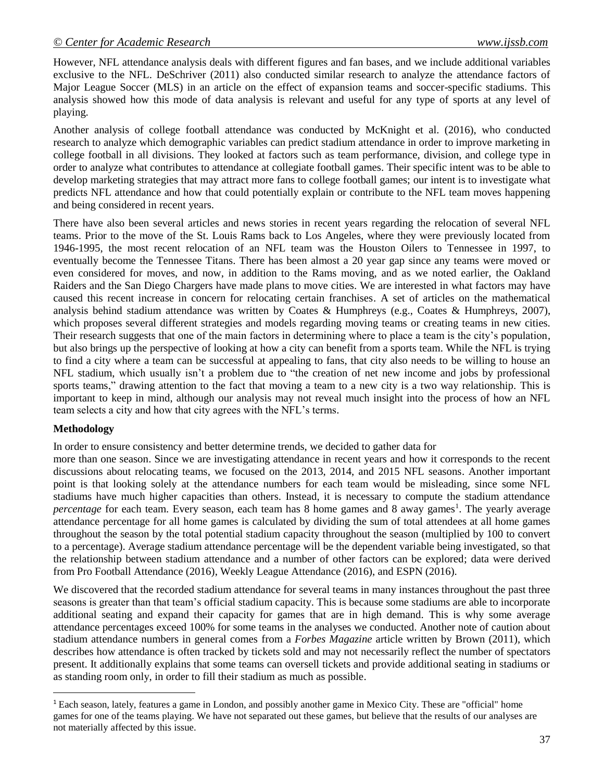However, NFL attendance analysis deals with different figures and fan bases, and we include additional variables exclusive to the NFL. DeSchriver (2011) also conducted similar research to analyze the attendance factors of Major League Soccer (MLS) in an article on the effect of expansion teams and soccer-specific stadiums. This analysis showed how this mode of data analysis is relevant and useful for any type of sports at any level of playing.

Another analysis of college football attendance was conducted by McKnight et al. (2016), who conducted research to analyze which demographic variables can predict stadium attendance in order to improve marketing in college football in all divisions. They looked at factors such as team performance, division, and college type in order to analyze what contributes to attendance at collegiate football games. Their specific intent was to be able to develop marketing strategies that may attract more fans to college football games; our intent is to investigate what predicts NFL attendance and how that could potentially explain or contribute to the NFL team moves happening and being considered in recent years.

There have also been several articles and news stories in recent years regarding the relocation of several NFL teams. Prior to the move of the St. Louis Rams back to Los Angeles, where they were previously located from 1946-1995, the most recent relocation of an NFL team was the Houston Oilers to Tennessee in 1997, to eventually become the Tennessee Titans. There has been almost a 20 year gap since any teams were moved or even considered for moves, and now, in addition to the Rams moving, and as we noted earlier, the Oakland Raiders and the San Diego Chargers have made plans to move cities. We are interested in what factors may have caused this recent increase in concern for relocating certain franchises. A set of articles on the mathematical analysis behind stadium attendance was written by Coates & Humphreys (e.g., Coates & Humphreys, 2007), which proposes several different strategies and models regarding moving teams or creating teams in new cities. Their research suggests that one of the main factors in determining where to place a team is the city's population, but also brings up the perspective of looking at how a city can benefit from a sports team. While the NFL is trying to find a city where a team can be successful at appealing to fans, that city also needs to be willing to house an NFL stadium, which usually isn't a problem due to "the creation of net new income and jobs by professional sports teams," drawing attention to the fact that moving a team to a new city is a two way relationship. This is important to keep in mind, although our analysis may not reveal much insight into the process of how an NFL team selects a city and how that city agrees with the NFL's terms.

## **Methodology**

 $\overline{a}$ 

In order to ensure consistency and better determine trends, we decided to gather data for

more than one season. Since we are investigating attendance in recent years and how it corresponds to the recent discussions about relocating teams, we focused on the 2013, 2014, and 2015 NFL seasons. Another important point is that looking solely at the attendance numbers for each team would be misleading, since some NFL stadiums have much higher capacities than others. Instead, it is necessary to compute the stadium attendance percentage for each team. Every season, each team has 8 home games and 8 away games<sup>1</sup>. The yearly average attendance percentage for all home games is calculated by dividing the sum of total attendees at all home games throughout the season by the total potential stadium capacity throughout the season (multiplied by 100 to convert to a percentage). Average stadium attendance percentage will be the dependent variable being investigated, so that the relationship between stadium attendance and a number of other factors can be explored; data were derived from Pro Football Attendance (2016), Weekly League Attendance (2016), and ESPN (2016).

We discovered that the recorded stadium attendance for several teams in many instances throughout the past three seasons is greater than that team's official stadium capacity. This is because some stadiums are able to incorporate additional seating and expand their capacity for games that are in high demand. This is why some average attendance percentages exceed 100% for some teams in the analyses we conducted. Another note of caution about stadium attendance numbers in general comes from a *Forbes Magazine* article written by Brown (2011), which describes how attendance is often tracked by tickets sold and may not necessarily reflect the number of spectators present. It additionally explains that some teams can oversell tickets and provide additional seating in stadiums or as standing room only, in order to fill their stadium as much as possible.

<sup>1</sup> Each season, lately, features a game in London, and possibly another game in Mexico City. These are "official" home games for one of the teams playing. We have not separated out these games, but believe that the results of our analyses are not materially affected by this issue.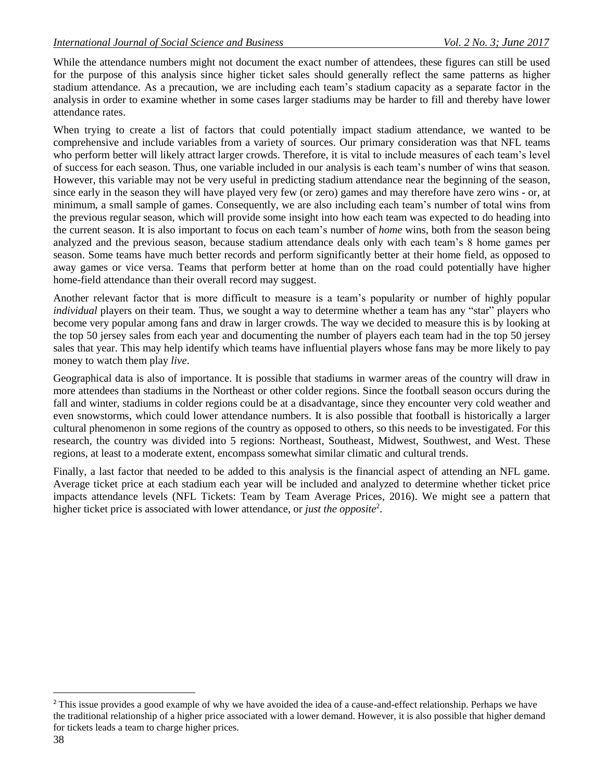While the attendance numbers might not document the exact number of attendees, these figures can still be used for the purpose of this analysis since higher ticket sales should generally reflect the same patterns as higher stadium attendance. As a precaution, we are including each team's stadium capacity as a separate factor in the analysis in order to examine whether in some cases larger stadiums may be harder to fill and thereby have lower attendance rates.

When trying to create a list of factors that could potentially impact stadium attendance, we wanted to be comprehensive and include variables from a variety of sources. Our primary consideration was that NFL teams who perform better will likely attract larger crowds. Therefore, it is vital to include measures of each team's level of success for each season. Thus, one variable included in our analysis is each team's number of wins that season. However, this variable may not be very useful in predicting stadium attendance near the beginning of the season, since early in the season they will have played very few (or zero) games and may therefore have zero wins - or, at minimum, a small sample of games. Consequently, we are also including each team's number of total wins from the previous regular season, which will provide some insight into how each team was expected to do heading into the current season. It is also important to focus on each team's number of *home* wins, both from the season being analyzed and the previous season, because stadium attendance deals only with each team's 8 home games per season. Some teams have much better records and perform significantly better at their home field, as opposed to away games or vice versa. Teams that perform better at home than on the road could potentially have higher home-field attendance than their overall record may suggest.

Another relevant factor that is more difficult to measure is a team's popularity or number of highly popular *individual* players on their team. Thus, we sought a way to determine whether a team has any "star" players who become very popular among fans and draw in larger crowds. The way we decided to measure this is by looking at the top 50 jersey sales from each year and documenting the number of players each team had in the top 50 jersey sales that year. This may help identify which teams have influential players whose fans may be more likely to pay money to watch them play *live*.

Geographical data is also of importance. It is possible that stadiums in warmer areas of the country will draw in more attendees than stadiums in the Northeast or other colder regions. Since the football season occurs during the fall and winter, stadiums in colder regions could be at a disadvantage, since they encounter very cold weather and even snowstorms, which could lower attendance numbers. It is also possible that football is historically a larger cultural phenomenon in some regions of the country as opposed to others, so this needs to be investigated. For this research, the country was divided into 5 regions: Northeast, Southeast, Midwest, Southwest, and West. These regions, at least to a moderate extent, encompass somewhat similar climatic and cultural trends.

Finally, a last factor that needed to be added to this analysis is the financial aspect of attending an NFL game. Average ticket price at each stadium each year will be included and analyzed to determine whether ticket price impacts attendance levels (NFL Tickets: Team by Team Average Prices, 2016). We might see a pattern that higher ticket price is associated with lower attendance, or *just the opposite*<sup>2</sup> .

 $\overline{a}$ 

<sup>&</sup>lt;sup>2</sup> This issue provides a good example of why we have avoided the idea of a cause-and-effect relationship. Perhaps we have the traditional relationship of a higher price associated with a lower demand. However, it is also possible that higher demand for tickets leads a team to charge higher prices.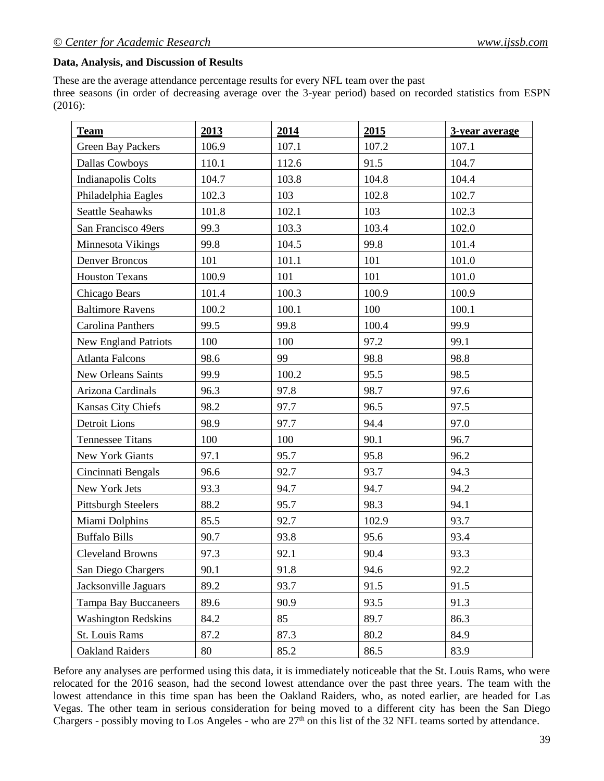#### **Data, Analysis, and Discussion of Results**

These are the average attendance percentage results for every NFL team over the past three seasons (in order of decreasing average over the 3-year period) based on recorded statistics from ESPN (2016):

| <b>Team</b>                 | 2013  | 2014  | 2015  | 3-year average |
|-----------------------------|-------|-------|-------|----------------|
| <b>Green Bay Packers</b>    | 106.9 | 107.1 | 107.2 | 107.1          |
| Dallas Cowboys              | 110.1 | 112.6 | 91.5  | 104.7          |
| Indianapolis Colts          | 104.7 | 103.8 | 104.8 | 104.4          |
| Philadelphia Eagles         | 102.3 | 103   | 102.8 | 102.7          |
| <b>Seattle Seahawks</b>     | 101.8 | 102.1 | 103   | 102.3          |
| San Francisco 49ers         | 99.3  | 103.3 | 103.4 | 102.0          |
| Minnesota Vikings           | 99.8  | 104.5 | 99.8  | 101.4          |
| <b>Denver Broncos</b>       | 101   | 101.1 | 101   | 101.0          |
| <b>Houston Texans</b>       | 100.9 | 101   | 101   | 101.0          |
| Chicago Bears               | 101.4 | 100.3 | 100.9 | 100.9          |
| <b>Baltimore Ravens</b>     | 100.2 | 100.1 | 100   | 100.1          |
| Carolina Panthers           | 99.5  | 99.8  | 100.4 | 99.9           |
| <b>New England Patriots</b> | 100   | 100   | 97.2  | 99.1           |
| <b>Atlanta Falcons</b>      | 98.6  | 99    | 98.8  | 98.8           |
| New Orleans Saints          | 99.9  | 100.2 | 95.5  | 98.5           |
| Arizona Cardinals           | 96.3  | 97.8  | 98.7  | 97.6           |
| Kansas City Chiefs          | 98.2  | 97.7  | 96.5  | 97.5           |
| Detroit Lions               | 98.9  | 97.7  | 94.4  | 97.0           |
| <b>Tennessee Titans</b>     | 100   | 100   | 90.1  | 96.7           |
| New York Giants             | 97.1  | 95.7  | 95.8  | 96.2           |
| Cincinnati Bengals          | 96.6  | 92.7  | 93.7  | 94.3           |
| New York Jets               | 93.3  | 94.7  | 94.7  | 94.2           |
| <b>Pittsburgh Steelers</b>  | 88.2  | 95.7  | 98.3  | 94.1           |
| Miami Dolphins              | 85.5  | 92.7  | 102.9 | 93.7           |
| <b>Buffalo Bills</b>        | 90.7  | 93.8  | 95.6  | 93.4           |
| <b>Cleveland Browns</b>     | 97.3  | 92.1  | 90.4  | 93.3           |
| San Diego Chargers          | 90.1  | 91.8  | 94.6  | 92.2           |
| Jacksonville Jaguars        | 89.2  | 93.7  | 91.5  | 91.5           |
| <b>Tampa Bay Buccaneers</b> | 89.6  | 90.9  | 93.5  | 91.3           |
| <b>Washington Redskins</b>  | 84.2  | 85    | 89.7  | 86.3           |
| St. Louis Rams              | 87.2  | 87.3  | 80.2  | 84.9           |
| <b>Oakland Raiders</b>      | 80    | 85.2  | 86.5  | 83.9           |

Before any analyses are performed using this data, it is immediately noticeable that the St. Louis Rams, who were relocated for the 2016 season, had the second lowest attendance over the past three years. The team with the lowest attendance in this time span has been the Oakland Raiders, who, as noted earlier, are headed for Las Vegas. The other team in serious consideration for being moved to a different city has been the San Diego Chargers - possibly moving to Los Angeles - who are  $27<sup>th</sup>$  on this list of the 32 NFL teams sorted by attendance.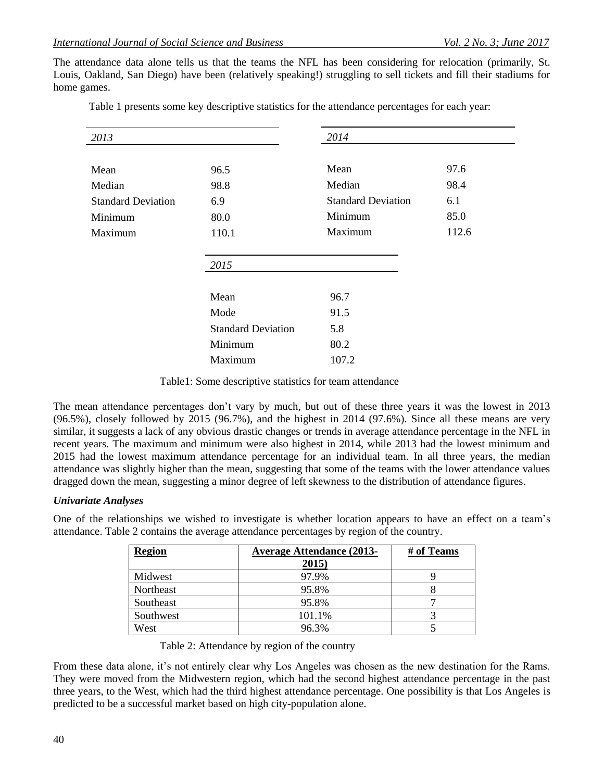The attendance data alone tells us that the teams the NFL has been considering for relocation (primarily, St. Louis, Oakland, San Diego) have been (relatively speaking!) struggling to sell tickets and fill their stadiums for home games.

| 2013                      |                           | 2014                      |       |
|---------------------------|---------------------------|---------------------------|-------|
|                           |                           |                           |       |
| Mean                      | 96.5                      | Mean                      | 97.6  |
| Median                    | 98.8                      | Median                    | 98.4  |
| <b>Standard Deviation</b> | 6.9                       | <b>Standard Deviation</b> | 6.1   |
| Minimum                   | 80.0                      | Minimum                   | 85.0  |
| Maximum                   | 110.1                     | Maximum                   | 112.6 |
|                           |                           |                           |       |
|                           | 2015                      |                           |       |
|                           |                           |                           |       |
|                           | Mean                      | 96.7                      |       |
|                           | Mode                      | 91.5                      |       |
|                           | <b>Standard Deviation</b> | 5.8                       |       |
|                           | Minimum                   | 80.2                      |       |
|                           | Maximum                   | 107.2                     |       |
|                           |                           |                           |       |

Table 1 presents some key descriptive statistics for the attendance percentages for each year:

Table1: Some descriptive statistics for team attendance

The mean attendance percentages don't vary by much, but out of these three years it was the lowest in 2013 (96.5%), closely followed by 2015 (96.7%), and the highest in 2014 (97.6%). Since all these means are very similar, it suggests a lack of any obvious drastic changes or trends in average attendance percentage in the NFL in recent years. The maximum and minimum were also highest in 2014, while 2013 had the lowest minimum and 2015 had the lowest maximum attendance percentage for an individual team. In all three years, the median attendance was slightly higher than the mean, suggesting that some of the teams with the lower attendance values dragged down the mean, suggesting a minor degree of left skewness to the distribution of attendance figures.

#### *Univariate Analyses*

One of the relationships we wished to investigate is whether location appears to have an effect on a team's attendance. Table 2 contains the average attendance percentages by region of the country.

| <b>Region</b> | <b>Average Attendance (2013-</b><br>2015 | # of Teams |
|---------------|------------------------------------------|------------|
| Midwest       | 97.9%                                    |            |
| Northeast     | 95.8%                                    |            |
| Southeast     | 95.8%                                    |            |
| Southwest     | 101.1%                                   |            |
| West          | 96.3%                                    |            |

Table 2: Attendance by region of the country

From these data alone, it's not entirely clear why Los Angeles was chosen as the new destination for the Rams. They were moved from the Midwestern region, which had the second highest attendance percentage in the past three years, to the West, which had the third highest attendance percentage. One possibility is that Los Angeles is predicted to be a successful market based on high city-population alone.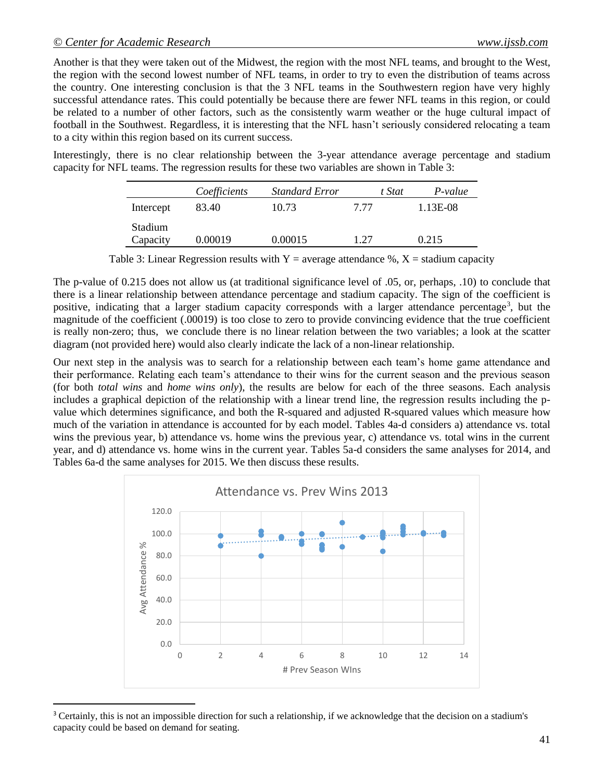$\overline{a}$ 

Another is that they were taken out of the Midwest, the region with the most NFL teams, and brought to the West, the region with the second lowest number of NFL teams, in order to try to even the distribution of teams across the country. One interesting conclusion is that the 3 NFL teams in the Southwestern region have very highly successful attendance rates. This could potentially be because there are fewer NFL teams in this region, or could be related to a number of other factors, such as the consistently warm weather or the huge cultural impact of football in the Southwest. Regardless, it is interesting that the NFL hasn't seriously considered relocating a team to a city within this region based on its current success.

Interestingly, there is no clear relationship between the 3-year attendance average percentage and stadium capacity for NFL teams. The regression results for these two variables are shown in Table 3:

|                     | Coefficients | <b>Standard Error</b> | t Stat | P-value  |
|---------------------|--------------|-----------------------|--------|----------|
| Intercept           | 83.40        | 10.73                 | 7 77   | 1.13E-08 |
| Stadium<br>Capacity | 0.00019      | 0.00015               | 127    | 0.215    |

Table 3: Linear Regression results with  $Y =$  average attendance %,  $X =$  stadium capacity

The p-value of 0.215 does not allow us (at traditional significance level of .05, or, perhaps, .10) to conclude that there is a linear relationship between attendance percentage and stadium capacity. The sign of the coefficient is positive, indicating that a larger stadium capacity corresponds with a larger attendance percentage<sup>3</sup>, but the magnitude of the coefficient (.00019) is too close to zero to provide convincing evidence that the true coefficient is really non-zero; thus, we conclude there is no linear relation between the two variables; a look at the scatter diagram (not provided here) would also clearly indicate the lack of a non-linear relationship.

Our next step in the analysis was to search for a relationship between each team's home game attendance and their performance. Relating each team's attendance to their wins for the current season and the previous season (for both *total wins* and *home wins only*), the results are below for each of the three seasons. Each analysis includes a graphical depiction of the relationship with a linear trend line, the regression results including the pvalue which determines significance, and both the R-squared and adjusted R-squared values which measure how much of the variation in attendance is accounted for by each model. Tables 4a-d considers a) attendance vs. total wins the previous year, b) attendance vs. home wins the previous year, c) attendance vs. total wins in the current year, and d) attendance vs. home wins in the current year. Tables 5a-d considers the same analyses for 2014, and Tables 6a-d the same analyses for 2015. We then discuss these results.



<sup>&</sup>lt;sup>3</sup> Certainly, this is not an impossible direction for such a relationship, if we acknowledge that the decision on a stadium's capacity could be based on demand for seating.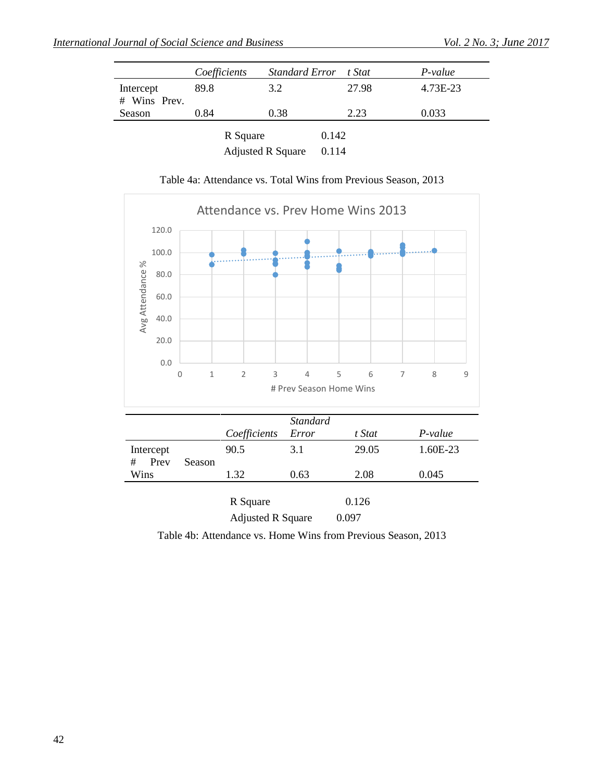|                           | Coefficients | <b>Standard Error</b>    | t Stat | P-value  |
|---------------------------|--------------|--------------------------|--------|----------|
| Intercept<br># Wins Prev. | 89.8         | 3.2                      | 27.98  | 4.73E-23 |
| Season                    | 0.84         | 0.38                     | 2.23   | 0.033    |
|                           | R Square     |                          | 0.142  |          |
|                           |              | <b>Adjusted R Square</b> | 0.114  |          |

Table 4a: Attendance vs. Total Wins from Previous Season, 2013



Adjusted R Square 0.097

Table 4b: Attendance vs. Home Wins from Previous Season, 2013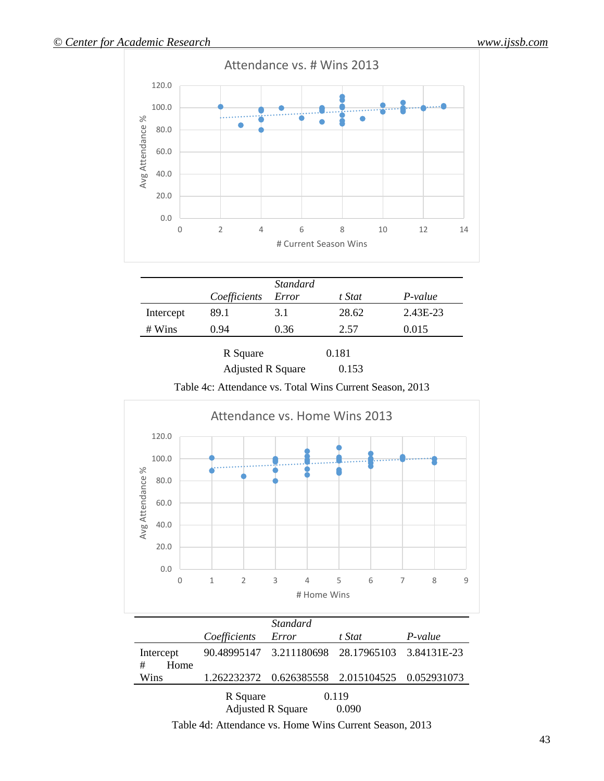

|                 | Coefficients | <i>Standard</i><br>Error | t Stat | P-value  |
|-----------------|--------------|--------------------------|--------|----------|
| Intercept       | 89.1         | 3.1                      | 28.62  | 2.43E-23 |
| $# \text{Wins}$ | 0.94         | 0.36                     | 2.57   | 0.015    |
|                 | R Square     |                          | 0.181  |          |

Adjusted R Square 0.153

Table 4c: Attendance vs. Total Wins Current Season, 2013



|                        |              | <i>Standard</i>                                    |                |         |
|------------------------|--------------|----------------------------------------------------|----------------|---------|
|                        | Coefficients | Error                                              | t Stat         | P-value |
| Intercept<br>#<br>Home |              | 90.48995147 3.211180698 28.17965103 3.84131E-23    |                |         |
| Wins                   |              | 1.262232372  0.626385558  2.015104525  0.052931073 |                |         |
|                        | R Square     | <b>Adjusted R Square</b>                           | 0.119<br>0.090 |         |

Table 4d: Attendance vs. Home Wins Current Season, 2013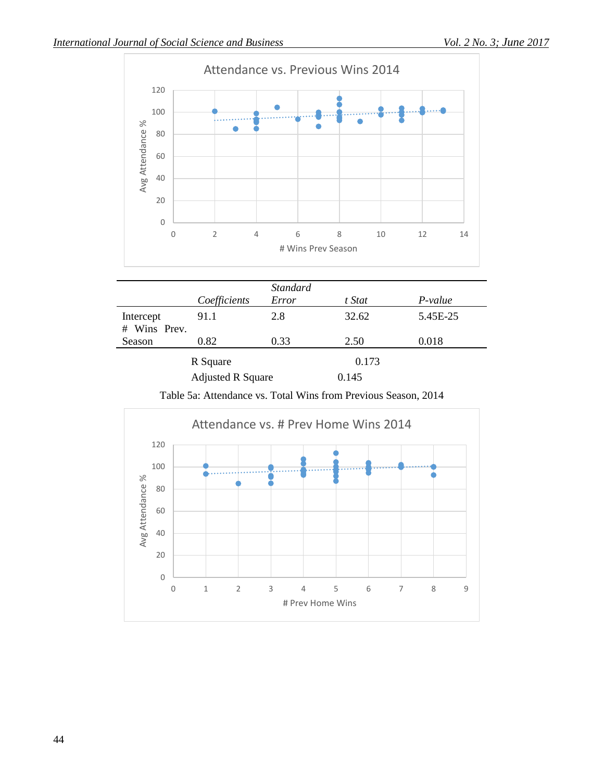

|                           | Coefficients             | <b>Standard</b><br>Error | t Stat | P-value  |
|---------------------------|--------------------------|--------------------------|--------|----------|
| Intercept<br># Wins Prev. | 91.1                     | 2.8                      | 32.62  | 5.45E-25 |
| Season                    | 0.82                     | 0.33                     | 2.50   | 0.018    |
|                           | R Square                 |                          | 0.173  |          |
|                           | <b>Adjusted R Square</b> |                          | 0.145  |          |

Table 5a: Attendance vs. Total Wins from Previous Season, 2014

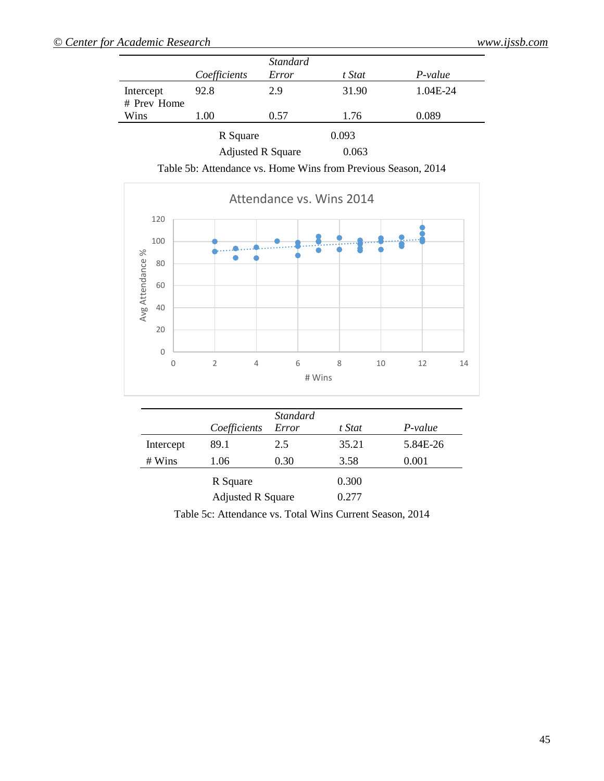|             |              | <b>Standard</b> |        |          |
|-------------|--------------|-----------------|--------|----------|
|             | Coefficients | Error           | t Stat | P-value  |
| Intercept   | 92.8         | 2.9             | 31.90  | 1.04E-24 |
| # Prev Home |              |                 |        |          |
| Wins        | L.OO         | 0.57            | 1.76   | 0.089    |
|             | R Square     |                 | 0.093  |          |

| IN DYUGHU                | <u>v.v.v</u> |
|--------------------------|--------------|
| <b>Adjusted R Square</b> | 0.063        |

Table 5b: Attendance vs. Home Wins from Previous Season, 2014



|                 | Coefficients             | <i>Standard</i><br>Error | t Stat | P-value  |
|-----------------|--------------------------|--------------------------|--------|----------|
| Intercept       | 89.1                     | 2.5                      | 35.21  | 5.84E-26 |
| $# \text{Wins}$ | 1.06                     | 0.30                     | 3.58   | 0.001    |
|                 | R Square                 |                          | 0.300  |          |
|                 | <b>Adjusted R Square</b> |                          | 0.277  |          |

Table 5c: Attendance vs. Total Wins Current Season, 2014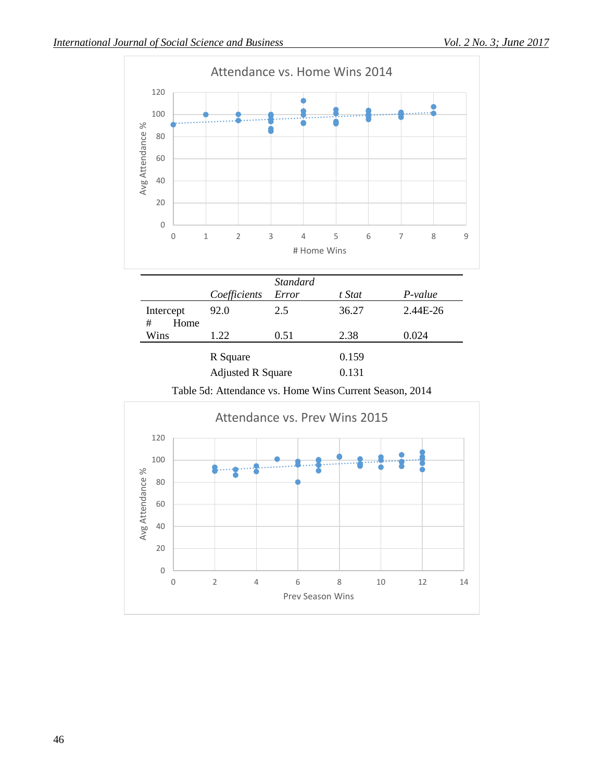



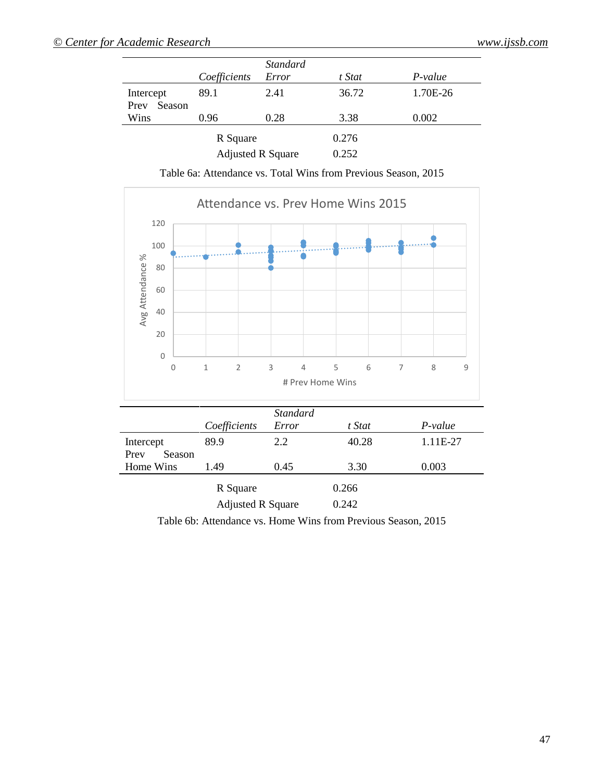|                             |                          | <i>Standard</i> |        |          |
|-----------------------------|--------------------------|-----------------|--------|----------|
|                             | Coefficients             | Error           | t Stat | P-value  |
| Intercept<br>Season<br>Prev | 89.1                     | 2.41            | 36.72  | 1.70E-26 |
| Wins                        | 0.96                     | 0.28            | 3.38   | 0.002    |
|                             | R Square                 |                 | 0.276  |          |
|                             | <b>Adjusted R Square</b> |                 | 0.252  |          |

Table 6a: Attendance vs. Total Wins from Previous Season, 2015



Table 6b: Attendance vs. Home Wins from Previous Season, 2015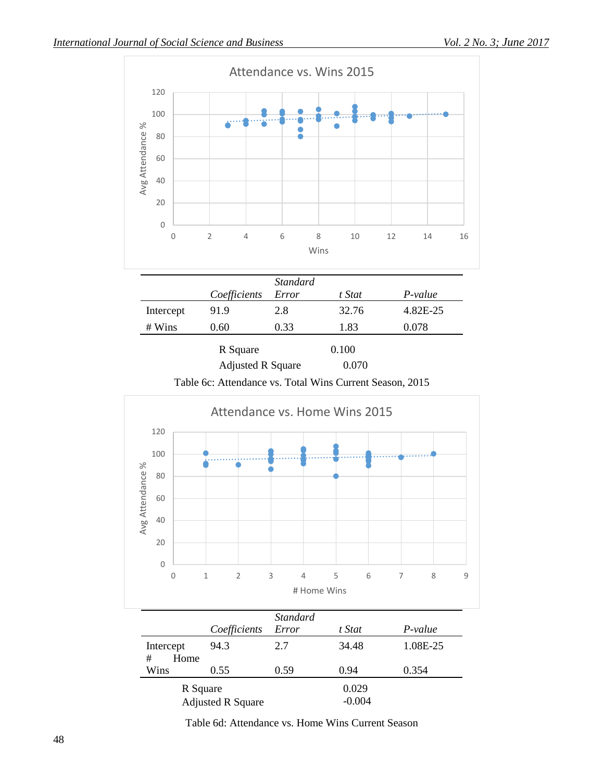

Table 6c: Attendance vs. Total Wins Current Season, 2015



Table 6d: Attendance vs. Home Wins Current Season

Adjusted R Square -0.004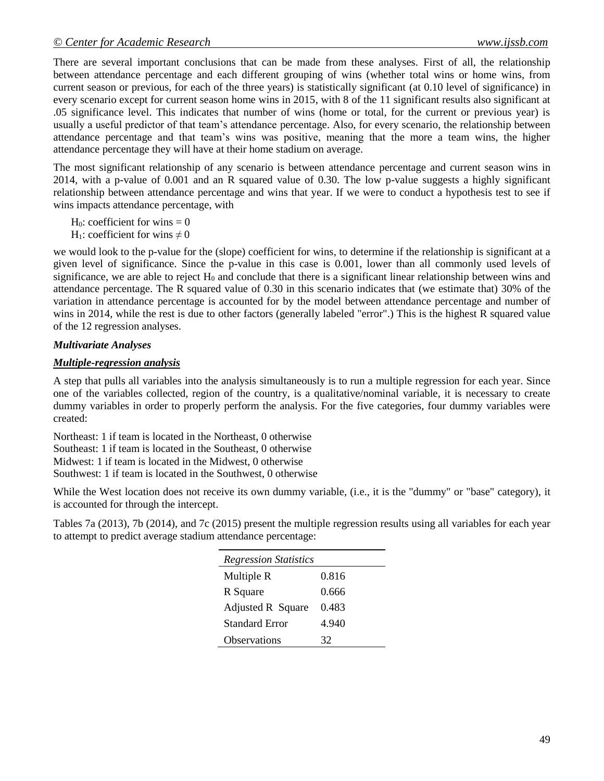There are several important conclusions that can be made from these analyses. First of all, the relationship between attendance percentage and each different grouping of wins (whether total wins or home wins, from current season or previous, for each of the three years) is statistically significant (at 0.10 level of significance) in every scenario except for current season home wins in 2015, with 8 of the 11 significant results also significant at .05 significance level. This indicates that number of wins (home or total, for the current or previous year) is usually a useful predictor of that team's attendance percentage. Also, for every scenario, the relationship between attendance percentage and that team's wins was positive, meaning that the more a team wins, the higher attendance percentage they will have at their home stadium on average.

The most significant relationship of any scenario is between attendance percentage and current season wins in 2014, with a p-value of 0.001 and an R squared value of 0.30. The low p-value suggests a highly significant relationship between attendance percentage and wins that year. If we were to conduct a hypothesis test to see if wins impacts attendance percentage, with

 $H_0$ : coefficient for wins = 0

H<sub>1</sub>: coefficient for wins  $\neq$  0

we would look to the p-value for the (slope) coefficient for wins, to determine if the relationship is significant at a given level of significance. Since the p-value in this case is 0.001, lower than all commonly used levels of significance, we are able to reject  $H_0$  and conclude that there is a significant linear relationship between wins and attendance percentage. The R squared value of 0.30 in this scenario indicates that (we estimate that) 30% of the variation in attendance percentage is accounted for by the model between attendance percentage and number of wins in 2014, while the rest is due to other factors (generally labeled "error".) This is the highest R squared value of the 12 regression analyses.

# *Multivariate Analyses*

## *Multiple-regression analysis*

A step that pulls all variables into the analysis simultaneously is to run a multiple regression for each year. Since one of the variables collected, region of the country, is a qualitative/nominal variable, it is necessary to create dummy variables in order to properly perform the analysis. For the five categories, four dummy variables were created:

Northeast: 1 if team is located in the Northeast, 0 otherwise Southeast: 1 if team is located in the Southeast, 0 otherwise Midwest: 1 if team is located in the Midwest, 0 otherwise Southwest: 1 if team is located in the Southwest, 0 otherwise

While the West location does not receive its own dummy variable, (i.e., it is the "dummy" or "base" category), it is accounted for through the intercept.

Tables 7a (2013), 7b (2014), and 7c (2015) present the multiple regression results using all variables for each year to attempt to predict average stadium attendance percentage:

| <b>Regression Statistics</b> |       |
|------------------------------|-------|
| Multiple R                   | 0.816 |
| R Square                     | 0.666 |
| Adjusted R Square            | 0.483 |
| Standard Error               | 4.940 |
| <b>Observations</b>          | 32    |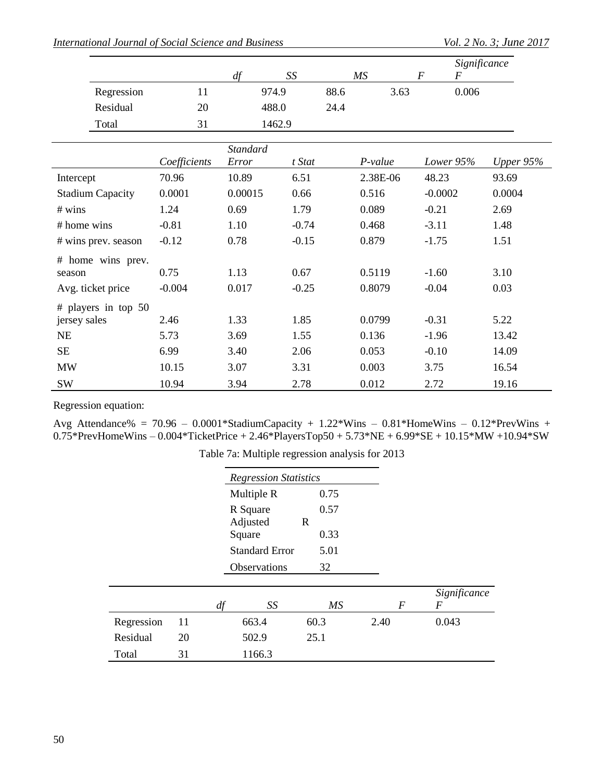|                         |              |                 |                          |      |          |                  | Significance     |             |
|-------------------------|--------------|-----------------|--------------------------|------|----------|------------------|------------------|-------------|
|                         |              | df              | $\mathcal{S}\mathcal{S}$ |      | MS       | $\boldsymbol{F}$ | $\boldsymbol{F}$ |             |
| Regression              | 11           | 974.9           |                          | 88.6 | 3.63     |                  | 0.006            |             |
| Residual                | 20           |                 | 488.0                    | 24.4 |          |                  |                  |             |
| Total                   | 31           |                 | 1462.9                   |      |          |                  |                  |             |
|                         |              | <b>Standard</b> |                          |      |          |                  |                  |             |
|                         | Coefficients | Error           | t Stat                   |      | P-value  |                  | Lower 95%        | Upper $95%$ |
| Intercept               | 70.96        | 10.89           | 6.51                     |      | 2.38E-06 | 48.23            |                  | 93.69       |
| <b>Stadium Capacity</b> | 0.0001       | 0.00015         | 0.66                     |      | 0.516    | $-0.0002$        |                  | 0.0004      |
| # wins                  | 1.24         | 0.69            | 1.79                     |      | 0.089    | $-0.21$          |                  | 2.69        |
| # home wins             | $-0.81$      | 1.10            | $-0.74$                  |      | 0.468    | $-3.11$          |                  | 1.48        |
| # wins prev. season     | $-0.12$      | 0.78            | $-0.15$                  |      | 0.879    | $-1.75$          |                  | 1.51        |
| # home wins prev.       |              |                 |                          |      |          |                  |                  |             |
| season                  | 0.75         | 1.13            | 0.67                     |      | 0.5119   | $-1.60$          |                  | 3.10        |
| Avg. ticket price       | $-0.004$     | 0.017           | $-0.25$                  |      | 0.8079   | $-0.04$          |                  | 0.03        |
| # players in top $50$   |              |                 |                          |      |          |                  |                  |             |
| jersey sales            | 2.46         | 1.33            | 1.85                     |      | 0.0799   | $-0.31$          |                  | 5.22        |
| NE                      | 5.73         | 3.69            | 1.55                     |      | 0.136    | $-1.96$          |                  | 13.42       |
| <b>SE</b>               | 6.99         | 3.40            | 2.06                     |      | 0.053    | $-0.10$          |                  | 14.09       |
| <b>MW</b>               | 10.15        | 3.07            | 3.31                     |      | 0.003    | 3.75             |                  | 16.54       |
| SW                      | 10.94        | 3.94            | 2.78                     |      | 0.012    | 2.72             |                  | 19.16       |

Regression equation:

Avg Attendance% =  $70.96 - 0.0001*$ StadiumCapacity +  $1.22*$ Wins  $- 0.81*$ HomeWins  $- 0.12*$ PrevWins +  $0.75*$ PrevHomeWins –  $0.004*$ TicketPrice + 2.46\*PlayersTop50 + 5.73\*NE + 6.99\*SE + 10.15\*MW +10.94\*SW

|            |    |    | <b>Regression Statistics</b> |             |  |                  |              |
|------------|----|----|------------------------------|-------------|--|------------------|--------------|
|            |    |    | Multiple R                   | 0.75        |  |                  |              |
|            |    |    | R Square                     | 0.57        |  |                  |              |
|            |    |    | Adjusted                     | $\mathbf R$ |  |                  |              |
|            |    |    | Square                       | 0.33        |  |                  |              |
|            |    |    | <b>Standard Error</b>        | 5.01        |  |                  |              |
|            |    |    | Observations                 | 32          |  |                  |              |
|            |    |    |                              |             |  |                  | Significance |
|            |    | df | SS                           | MS          |  | $\boldsymbol{F}$ | F            |
| Regression | 11 |    | 663.4                        | 60.3        |  | 2.40             | 0.043        |
| Residual   | 20 |    | 502.9                        | 25.1        |  |                  |              |
| Total      | 31 |    | 1166.3                       |             |  |                  |              |

| Table 7a: Multiple regression analysis for 2013 |  |  |  |
|-------------------------------------------------|--|--|--|
|-------------------------------------------------|--|--|--|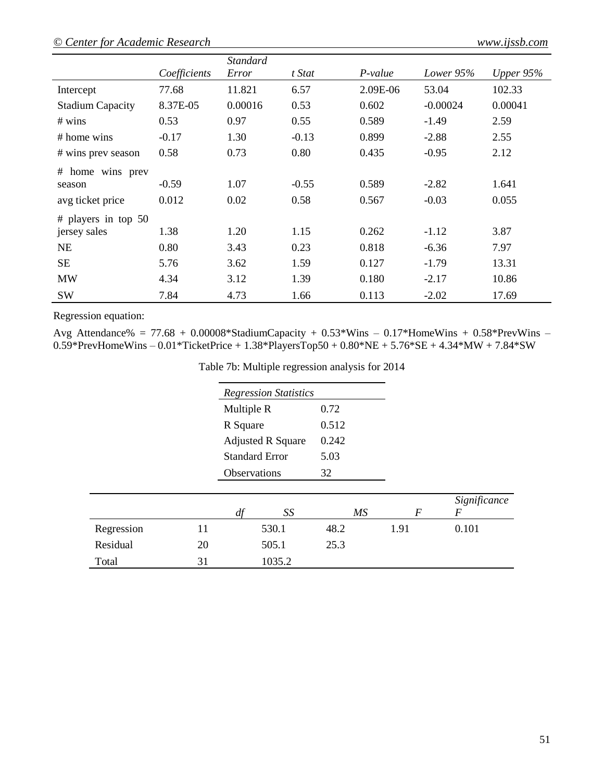# *© Center for Academic Research www.ijssb.com*

|                         |              | <b>Standard</b> |         |           |            |             |
|-------------------------|--------------|-----------------|---------|-----------|------------|-------------|
|                         | Coefficients | Error           | t Stat  | $P-value$ | Lower 95%  | Upper $95%$ |
| Intercept               | 77.68        | 11.821          | 6.57    | 2.09E-06  | 53.04      | 102.33      |
| <b>Stadium Capacity</b> | 8.37E-05     | 0.00016         | 0.53    | 0.602     | $-0.00024$ | 0.00041     |
| # wins                  | 0.53         | 0.97            | 0.55    | 0.589     | $-1.49$    | 2.59        |
| $#$ home wins           | $-0.17$      | 1.30            | $-0.13$ | 0.899     | $-2.88$    | 2.55        |
| # wins prev season      | 0.58         | 0.73            | 0.80    | 0.435     | $-0.95$    | 2.12        |
| # home wins prev        |              |                 |         |           |            |             |
| season                  | $-0.59$      | 1.07            | $-0.55$ | 0.589     | $-2.82$    | 1.641       |
| avg ticket price        | 0.012        | 0.02            | 0.58    | 0.567     | $-0.03$    | 0.055       |
| # players in top $50$   |              |                 |         |           |            |             |
| jersey sales            | 1.38         | 1.20            | 1.15    | 0.262     | $-1.12$    | 3.87        |
| <b>NE</b>               | 0.80         | 3.43            | 0.23    | 0.818     | $-6.36$    | 7.97        |
| <b>SE</b>               | 5.76         | 3.62            | 1.59    | 0.127     | $-1.79$    | 13.31       |
| <b>MW</b>               | 4.34         | 3.12            | 1.39    | 0.180     | $-2.17$    | 10.86       |
| <b>SW</b>               | 7.84         | 4.73            | 1.66    | 0.113     | $-2.02$    | 17.69       |

Regression equation:

Avg Attendance% =  $77.68 + 0.00008*$ StadiumCapacity +  $0.53*$ Wins  $- 0.17*$ HomeWins +  $0.58*$ PrevWins  $-$ 0.59\*PrevHomeWins – 0.01\*TicketPrice + 1.38\*PlayersTop50 + 0.80\*NE + 5.76\*SE + 4.34\*MW + 7.84\*SW

|  | Table 7b: Multiple regression analysis for 2014 |  |  |
|--|-------------------------------------------------|--|--|
|  |                                                 |  |  |
|  |                                                 |  |  |

|            |    |    | <b>Regression Statistics</b> |       |    |                  |                                  |
|------------|----|----|------------------------------|-------|----|------------------|----------------------------------|
|            |    |    | Multiple R                   |       |    |                  |                                  |
|            |    |    | R Square                     |       |    |                  |                                  |
|            |    |    | <b>Adjusted R Square</b>     | 0.242 |    |                  |                                  |
|            |    |    | <b>Standard Error</b>        | 5.03  |    |                  |                                  |
|            |    |    | Observations                 |       |    |                  |                                  |
|            |    | df | SS                           |       | MS | $\boldsymbol{F}$ | Significance<br>$\boldsymbol{F}$ |
| Regression | 11 |    | 530.1                        | 48.2  |    | 1.91             | 0.101                            |
| Residual   | 20 |    | 505.1                        | 25.3  |    |                  |                                  |
| Total      | 31 |    | 1035.2                       |       |    |                  |                                  |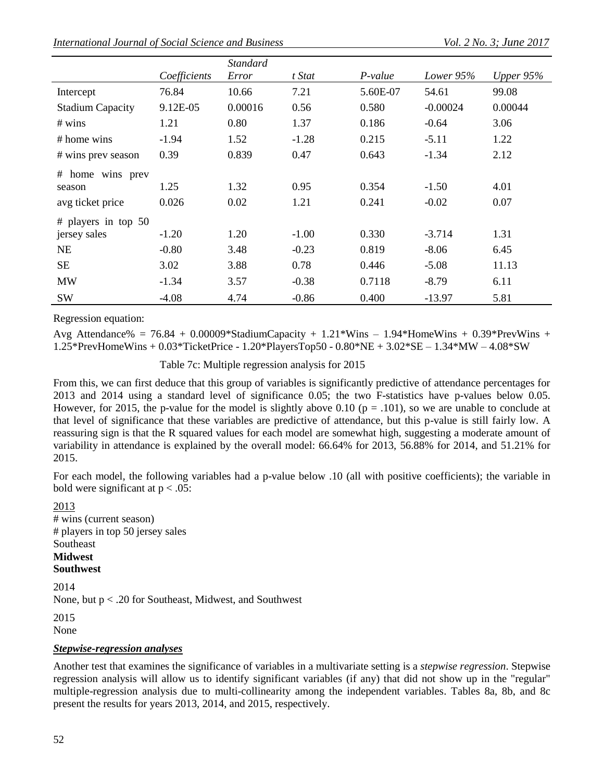|--|

|                         |              | <b>Standard</b> |         |          |            |             |
|-------------------------|--------------|-----------------|---------|----------|------------|-------------|
|                         | Coefficients | Error           | t Stat  | P-value  | Lower 95%  | Upper $95%$ |
| Intercept               | 76.84        | 10.66           | 7.21    | 5.60E-07 | 54.61      | 99.08       |
| <b>Stadium Capacity</b> | 9.12E-05     | 0.00016         | 0.56    | 0.580    | $-0.00024$ | 0.00044     |
| # wins                  | 1.21         | 0.80            | 1.37    | 0.186    | $-0.64$    | 3.06        |
| # home wins             | $-1.94$      | 1.52            | $-1.28$ | 0.215    | $-5.11$    | 1.22        |
| # wins prev season      | 0.39         | 0.839           | 0.47    | 0.643    | $-1.34$    | 2.12        |
| # home wins prev        |              |                 |         |          |            |             |
| season                  | 1.25         | 1.32            | 0.95    | 0.354    | $-1.50$    | 4.01        |
| avg ticket price        | 0.026        | 0.02            | 1.21    | 0.241    | $-0.02$    | 0.07        |
| # players in top $50$   |              |                 |         |          |            |             |
| jersey sales            | $-1.20$      | 1.20            | $-1.00$ | 0.330    | $-3.714$   | 1.31        |
| NE                      | $-0.80$      | 3.48            | $-0.23$ | 0.819    | $-8.06$    | 6.45        |
| <b>SE</b>               | 3.02         | 3.88            | 0.78    | 0.446    | $-5.08$    | 11.13       |
| <b>MW</b>               | $-1.34$      | 3.57            | $-0.38$ | 0.7118   | $-8.79$    | 6.11        |
| <b>SW</b>               | $-4.08$      | 4.74            | $-0.86$ | 0.400    | $-13.97$   | 5.81        |

Regression equation:

Avg Attendance% = 76.84 + 0.00009\*StadiumCapacity +  $1.21*Wins - 1.94*HomWins + 0.39*PrevWins +$ 1.25\*PrevHomeWins + 0.03\*TicketPrice - 1.20\*PlayersTop50 - 0.80\*NE + 3.02\*SE – 1.34\*MW – 4.08\*SW

Table 7c: Multiple regression analysis for 2015

From this, we can first deduce that this group of variables is significantly predictive of attendance percentages for 2013 and 2014 using a standard level of significance 0.05; the two F-statistics have p-values below 0.05. However, for 2015, the p-value for the model is slightly above 0.10 ( $p = .101$ ), so we are unable to conclude at that level of significance that these variables are predictive of attendance, but this p-value is still fairly low. A reassuring sign is that the R squared values for each model are somewhat high, suggesting a moderate amount of variability in attendance is explained by the overall model: 66.64% for 2013, 56.88% for 2014, and 51.21% for 2015.

For each model, the following variables had a p-value below .10 (all with positive coefficients); the variable in bold were significant at  $p < .05$ :

2013 # wins (current season) # players in top 50 jersey sales Southeast **Midwest**

# **Southwest**

2014

None, but p < .20 for Southeast, Midwest, and Southwest

2015

None

#### *Stepwise-regression analyses*

Another test that examines the significance of variables in a multivariate setting is a *stepwise regression*. Stepwise regression analysis will allow us to identify significant variables (if any) that did not show up in the "regular" multiple-regression analysis due to multi-collinearity among the independent variables. Tables 8a, 8b, and 8c present the results for years 2013, 2014, and 2015, respectively.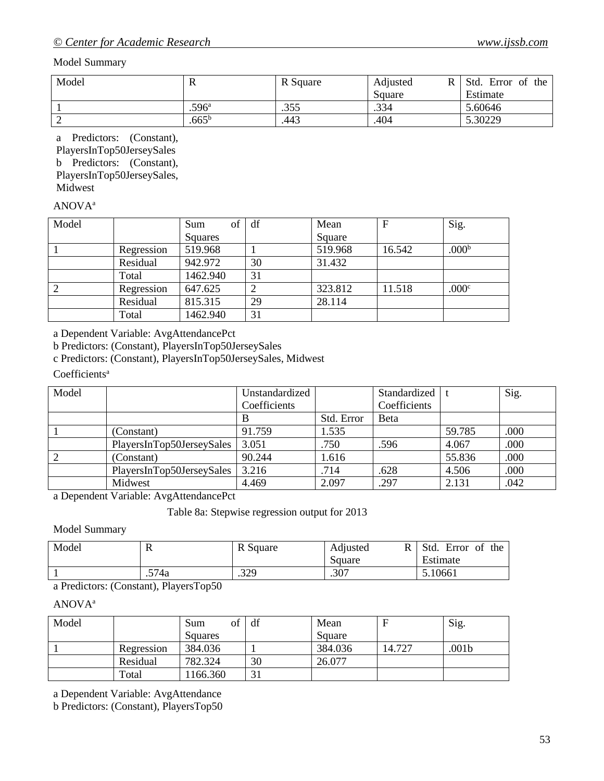#### Model Summary

| Model | л                 | R Square | Adjusted<br>R | Std.<br>Error of<br>the |
|-------|-------------------|----------|---------------|-------------------------|
|       |                   |          | Square        | Estimate                |
|       | .596 <sup>a</sup> | .355     | .334          | 5.60646                 |
|       | $.665^{\rm b}$    | .443     | .404          | 5.30229                 |

a Predictors: (Constant), PlayersInTop50JerseySales b Predictors: (Constant), PlayersInTop50JerseySales, Midwest

# ANOVA<sup>a</sup>

| Model |            | of<br>Sum | df | Mean    | $\mathbf{F}$ | Sig.              |
|-------|------------|-----------|----|---------|--------------|-------------------|
|       |            | Squares   |    | Square  |              |                   |
|       | Regression | 519.968   |    | 519.968 | 16.542       | .000 <sup>b</sup> |
|       | Residual   | 942.972   | 30 | 31.432  |              |                   |
|       | Total      | 1462.940  | 31 |         |              |                   |
| 2     | Regression | 647.625   |    | 323.812 | 11.518       | .000 <sup>c</sup> |
|       | Residual   | 815.315   | 29 | 28.114  |              |                   |
|       | Total      | 1462.940  | 31 |         |              |                   |

a Dependent Variable: AvgAttendancePct

b Predictors: (Constant), PlayersInTop50JerseySales

c Predictors: (Constant), PlayersInTop50JerseySales, Midwest

# Coefficients<sup>a</sup>

| Model |                           | Unstandardized |            | Standardized |        | Sig. |
|-------|---------------------------|----------------|------------|--------------|--------|------|
|       |                           | Coefficients   |            | Coefficients |        |      |
|       |                           |                | Std. Error | Beta         |        |      |
|       | (Constant)                | 91.759         | 1.535      |              | 59.785 | .000 |
|       | PlayersInTop50JerseySales | 3.051          | .750       | .596         | 4.067  | .000 |
| 2     | (Constant)                | 90.244         | 1.616      |              | 55.836 | .000 |
|       | PlayersInTop50JerseySales | 3.216          | .714       | .628         | 4.506  | .000 |
|       | Midwest                   | 4.469          | 2.097      | .297         | 2.131  | .042 |

a Dependent Variable: AvgAttendancePct

Table 8a: Stepwise regression output for 2013

Model Summary

| Model | 17                | R Square | Adjusted<br>R<br>Square | Std.<br>Error<br>the<br>-of<br>Estimate |
|-------|-------------------|----------|-------------------------|-----------------------------------------|
| $  -$ | .574a<br>.<br>___ | .329     | .307                    | 5.10661                                 |

a Predictors: (Constant), PlayersTop50

#### ANOVA<sup>a</sup>

| Model |            | οf<br>Sum | df     | Mean    |        | Sig.              |
|-------|------------|-----------|--------|---------|--------|-------------------|
|       |            | Squares   |        | Square  |        |                   |
|       | Regression | 384.036   |        | 384.036 | 14.727 | .001 <sub>b</sub> |
|       | Residual   | 782.324   | 30     | 26.077  |        |                   |
|       | Total      | 166.360   | $\sim$ |         |        |                   |

a Dependent Variable: AvgAttendance

b Predictors: (Constant), PlayersTop50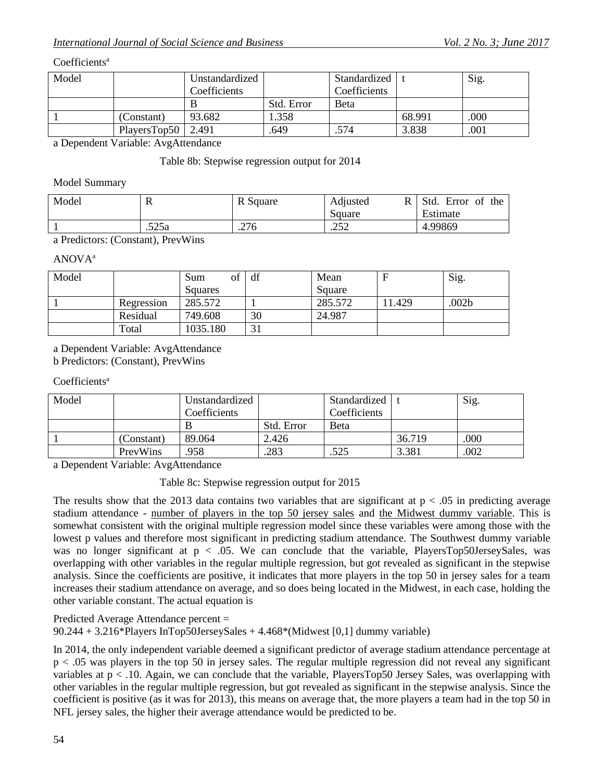#### Coefficients<sup>a</sup>

| Model | Unstandardized |              | Standardized |              | Sig.   |      |
|-------|----------------|--------------|--------------|--------------|--------|------|
|       |                | Coefficients |              | Coefficients |        |      |
|       |                |              | Std. Error   | <b>Beta</b>  |        |      |
|       | (Constant)     | 93.682       | 1.358        |              | 68.991 | .000 |
|       | PlaversTop50   | 2.491        | .649         | .574         | 3.838  | .001 |

a Dependent Variable: AvgAttendance

#### Table 8b: Stepwise regression output for 2014

#### Model Summary

| Model | 17    | R Square | D<br>Adjusted<br>ĸ<br>Square | Std.<br>Error<br>of<br>the<br>Estimate |
|-------|-------|----------|------------------------------|----------------------------------------|
|       | .525a | .276     | າເາ<br>ے بے .                | 4.99869                                |

a Predictors: (Constant), PrevWins

#### ANOVA<sup>a</sup>

| Model |            | of<br>Sum | df             | Mean    | F     | Sig.  |
|-------|------------|-----------|----------------|---------|-------|-------|
|       |            | Squares   |                | Square  |       |       |
|       | Regression | 285.572   |                | 285.572 | 1.429 | .002b |
|       | Residual   | 749.608   | 30             | 24.987  |       |       |
|       | Total      | 1035.180  | $\sim$ 1<br>JІ |         |       |       |

a Dependent Variable: AvgAttendance

b Predictors: (Constant), PrevWins

#### Coefficients<sup>a</sup>

| Model |            | Unstandardized |            | Standardized |        | Sig. |
|-------|------------|----------------|------------|--------------|--------|------|
|       |            | Coefficients   |            | Coefficients |        |      |
|       |            |                | Std. Error | Beta         |        |      |
|       | (Constant) | 89.064         | 2.426      |              | 36.719 | .000 |
|       | PrevWins   | .958           | .283       | .525         | 3.381  | .002 |

a Dependent Variable: AvgAttendance

Table 8c: Stepwise regression output for 2015

The results show that the 2013 data contains two variables that are significant at  $p < .05$  in predicting average stadium attendance - number of players in the top 50 jersey sales and the Midwest dummy variable. This is somewhat consistent with the original multiple regression model since these variables were among those with the lowest p values and therefore most significant in predicting stadium attendance. The Southwest dummy variable was no longer significant at  $p < .05$ . We can conclude that the variable, PlayersTop50JerseySales, was overlapping with other variables in the regular multiple regression, but got revealed as significant in the stepwise analysis. Since the coefficients are positive, it indicates that more players in the top 50 in jersey sales for a team increases their stadium attendance on average, and so does being located in the Midwest, in each case, holding the other variable constant. The actual equation is

Predicted Average Attendance percent =

90.244 + 3.216\*Players InTop50JerseySales +  $4.468$ \*(Midwest [0,1] dummy variable)

In 2014, the only independent variable deemed a significant predictor of average stadium attendance percentage at p < .05 was players in the top 50 in jersey sales. The regular multiple regression did not reveal any significant variables at  $p < 0.10$ . Again, we can conclude that the variable, PlayersTop50 Jersey Sales, was overlapping with other variables in the regular multiple regression, but got revealed as significant in the stepwise analysis. Since the coefficient is positive (as it was for 2013), this means on average that, the more players a team had in the top 50 in NFL jersey sales, the higher their average attendance would be predicted to be.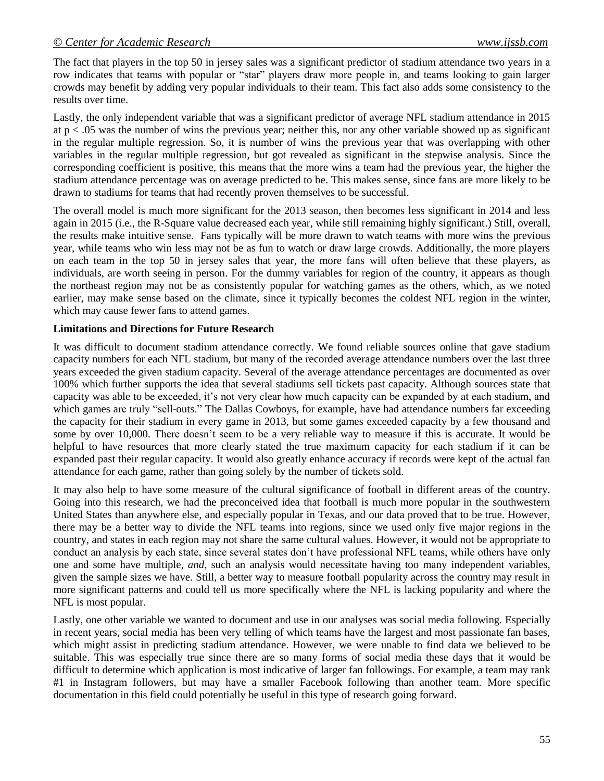The fact that players in the top 50 in jersey sales was a significant predictor of stadium attendance two years in a row indicates that teams with popular or "star" players draw more people in, and teams looking to gain larger crowds may benefit by adding very popular individuals to their team. This fact also adds some consistency to the results over time.

Lastly, the only independent variable that was a significant predictor of average NFL stadium attendance in 2015 at  $p < .05$  was the number of wins the previous year; neither this, nor any other variable showed up as significant in the regular multiple regression. So, it is number of wins the previous year that was overlapping with other variables in the regular multiple regression, but got revealed as significant in the stepwise analysis. Since the corresponding coefficient is positive, this means that the more wins a team had the previous year, the higher the stadium attendance percentage was on average predicted to be. This makes sense, since fans are more likely to be drawn to stadiums for teams that had recently proven themselves to be successful.

The overall model is much more significant for the 2013 season, then becomes less significant in 2014 and less again in 2015 (i.e., the R-Square value decreased each year, while still remaining highly significant.) Still, overall, the results make intuitive sense. Fans typically will be more drawn to watch teams with more wins the previous year, while teams who win less may not be as fun to watch or draw large crowds. Additionally, the more players on each team in the top 50 in jersey sales that year, the more fans will often believe that these players, as individuals, are worth seeing in person. For the dummy variables for region of the country, it appears as though the northeast region may not be as consistently popular for watching games as the others, which, as we noted earlier, may make sense based on the climate, since it typically becomes the coldest NFL region in the winter, which may cause fewer fans to attend games.

#### **Limitations and Directions for Future Research**

It was difficult to document stadium attendance correctly. We found reliable sources online that gave stadium capacity numbers for each NFL stadium, but many of the recorded average attendance numbers over the last three years exceeded the given stadium capacity. Several of the average attendance percentages are documented as over 100% which further supports the idea that several stadiums sell tickets past capacity. Although sources state that capacity was able to be exceeded, it's not very clear how much capacity can be expanded by at each stadium, and which games are truly "sell-outs." The Dallas Cowboys, for example, have had attendance numbers far exceeding the capacity for their stadium in every game in 2013, but some games exceeded capacity by a few thousand and some by over 10,000. There doesn't seem to be a very reliable way to measure if this is accurate. It would be helpful to have resources that more clearly stated the true maximum capacity for each stadium if it can be expanded past their regular capacity. It would also greatly enhance accuracy if records were kept of the actual fan attendance for each game, rather than going solely by the number of tickets sold.

It may also help to have some measure of the cultural significance of football in different areas of the country. Going into this research, we had the preconceived idea that football is much more popular in the southwestern United States than anywhere else, and especially popular in Texas, and our data proved that to be true. However, there may be a better way to divide the NFL teams into regions, since we used only five major regions in the country, and states in each region may not share the same cultural values. However, it would not be appropriate to conduct an analysis by each state, since several states don't have professional NFL teams, while others have only one and some have multiple, *and*, such an analysis would necessitate having too many independent variables, given the sample sizes we have. Still, a better way to measure football popularity across the country may result in more significant patterns and could tell us more specifically where the NFL is lacking popularity and where the NFL is most popular.

Lastly, one other variable we wanted to document and use in our analyses was social media following. Especially in recent years, social media has been very telling of which teams have the largest and most passionate fan bases, which might assist in predicting stadium attendance. However, we were unable to find data we believed to be suitable. This was especially true since there are so many forms of social media these days that it would be difficult to determine which application is most indicative of larger fan followings. For example, a team may rank #1 in Instagram followers, but may have a smaller Facebook following than another team. More specific documentation in this field could potentially be useful in this type of research going forward.